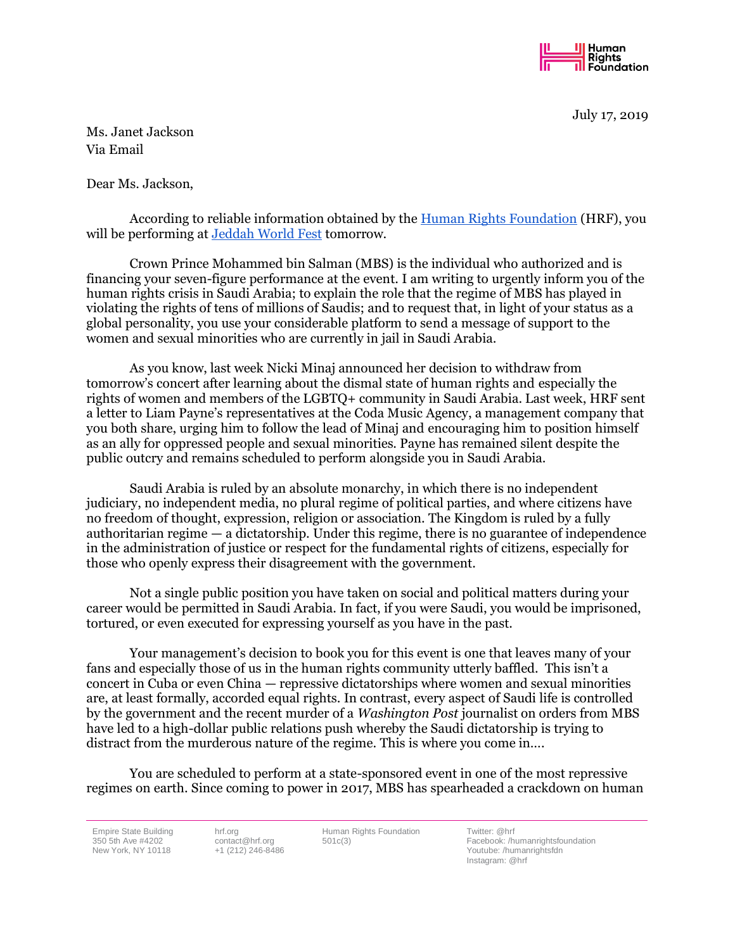

July 17, 2019

Ms. Janet Jackson Via Email

Dear Ms. Jackson,

According to reliable information obtained by the [Human Rights Foundation](https://hrf.org/) (HRF), you will be performing at [Jeddah World Fest](https://www.jeddahworldfest.com/) tomorrow.

Crown Prince Mohammed bin Salman (MBS) is the individual who authorized and is financing your seven-figure performance at the event. I am writing to urgently inform you of the human rights crisis in Saudi Arabia; to explain the role that the regime of MBS has played in violating the rights of tens of millions of Saudis; and to request that, in light of your status as a global personality, you use your considerable platform to send a message of support to the women and sexual minorities who are currently in jail in Saudi Arabia.

As you know, last week Nicki Minaj announced her decision to withdraw from tomorrow's concert after learning about the dismal state of human rights and especially the rights of women and members of the LGBTQ+ community in Saudi Arabia. Last week, HRF sent a letter to Liam Payne's representatives at the Coda Music Agency, a management company that you both share, urging him to follow the lead of Minaj and encouraging him to position himself as an ally for oppressed people and sexual minorities. Payne has remained silent despite the public outcry and remains scheduled to perform alongside you in Saudi Arabia.

Saudi Arabia is ruled by an absolute monarchy, in which there is no independent judiciary, no independent media, no plural regime of political parties, and where citizens have no freedom of thought, expression, religion or association. The Kingdom is ruled by a fully authoritarian regime — a dictatorship. Under this regime, there is no guarantee of independence in the administration of justice or respect for the fundamental rights of citizens, especially for those who openly express their disagreement with the government.

Not a single public position you have taken on social and political matters during your career would be permitted in Saudi Arabia. In fact, if you were Saudi, you would be imprisoned, tortured, or even executed for expressing yourself as you have in the past.

Your management's decision to book you for this event is one that leaves many of your fans and especially those of us in the human rights community utterly baffled. This isn't a concert in Cuba or even China — repressive dictatorships where women and sexual minorities are, at least formally, accorded equal rights. In contrast, every aspect of Saudi life is controlled by the government and the recent murder of a *Washington Post* journalist on orders from MBS have led to a high-dollar public relations push whereby the Saudi dictatorship is trying to distract from the murderous nature of the regime. This is where you come in….

You are scheduled to perform at a state-sponsored event in one of the most repressive regimes on earth. Since coming to power in 2017, MBS has spearheaded a crackdown on human

Empire State Building 350 5th Ave #4202 New York, NY 10118

hrf.org contact@hrf.org +1 (212) 246-8486

Human Rights Foundation 501c(3)

Twitter: @hrf Facebook: /humanrightsfoundation Youtube: /humanrightsfdn Instagram: @hrf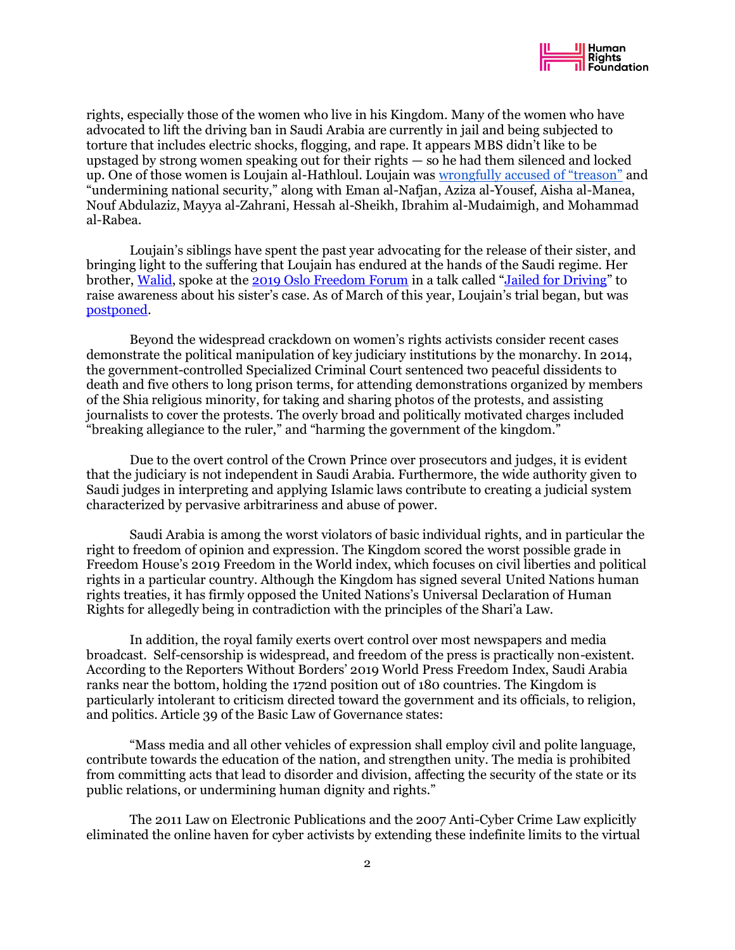

rights, especially those of the women who live in his Kingdom. Many of the women who have advocated to lift the driving ban in Saudi Arabia are currently in jail and being subjected to torture that includes electric shocks, flogging, and rape. It appears MBS didn't like to be upstaged by strong women speaking out for their rights — so he had them silenced and locked up. One of those women is Loujain al-Hathloul. Loujain was [wrongfully accused of "treason"](https://mailchi.mp/d92f77ae0bae/saudi-arabia-cracks-down-on-activists-before-ending-the-driving-ban?e=d6a27fd2e5) and "undermining national security," along with Eman al-Nafjan, Aziza al-Yousef, Aisha al-Manea, Nouf Abdulaziz, Mayya al-Zahrani, Hessah al-Sheikh, Ibrahim al-Mudaimigh, and Mohammad al-Rabea.

Loujain's siblings have spent the past year advocating for the release of their sister, and bringing light to the suffering that Loujain has endured at the hands of the Saudi regime. Her brother, [Walid,](https://oslofreedomforum.com/speakers/walid-al-hathloul) spoke at the [2019 Oslo Freedom Forum](https://hrf.org/events_talks/jailed-for-driving/) in a talk called "[Jailed for Driving](https://www.youtube.com/watch?v=1EZco1VGI4k)" to raise awareness about his sister's case. As of March of this year, Loujain's trial began, but was [postponed.](https://www.nytimes.com/2019/06/24/world/middleeast/saudi-driving-ban-anniversary.html)

Beyond the widespread crackdown on women's rights activists consider recent cases demonstrate the political manipulation of key judiciary institutions by the monarchy. In 2014, the government-controlled Specialized Criminal Court sentenced two peaceful dissidents to death and five others to long prison terms, for attending demonstrations organized by members of the Shia religious minority, for taking and sharing photos of the protests, and assisting journalists to cover the protests. The overly broad and politically motivated charges included "breaking allegiance to the ruler," and "harming the government of the kingdom."

Due to the overt control of the Crown Prince over prosecutors and judges, it is evident that the judiciary is not independent in Saudi Arabia. Furthermore, the wide authority given to Saudi judges in interpreting and applying Islamic laws contribute to creating a judicial system characterized by pervasive arbitrariness and abuse of power.

Saudi Arabia is among the worst violators of basic individual rights, and in particular the right to freedom of opinion and expression. The Kingdom scored the worst possible grade in Freedom House's 2019 Freedom in the World index, which focuses on civil liberties and political rights in a particular country. Although the Kingdom has signed several United Nations human rights treaties, it has firmly opposed the United Nations's Universal Declaration of Human Rights for allegedly being in contradiction with the principles of the Shari'a Law.

In addition, the royal family exerts overt control over most newspapers and media broadcast. Self-censorship is widespread, and freedom of the press is practically non-existent. According to the Reporters Without Borders' 2019 World Press Freedom Index, Saudi Arabia ranks near the bottom, holding the 172nd position out of 180 countries. The Kingdom is particularly intolerant to criticism directed toward the government and its officials, to religion, and politics. Article 39 of the Basic Law of Governance states:

"Mass media and all other vehicles of expression shall employ civil and polite language, contribute towards the education of the nation, and strengthen unity. The media is prohibited from committing acts that lead to disorder and division, affecting the security of the state or its public relations, or undermining human dignity and rights."

The 2011 Law on Electronic Publications and the 2007 Anti-Cyber Crime Law explicitly eliminated the online haven for cyber activists by extending these indefinite limits to the virtual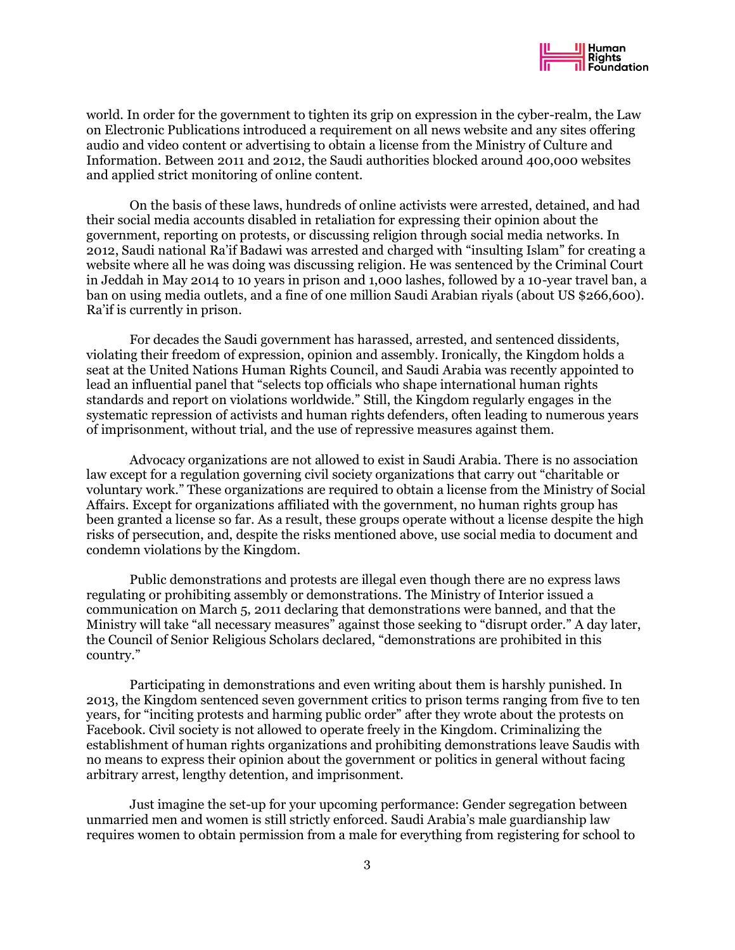

world. In order for the government to tighten its grip on expression in the cyber-realm, the Law on Electronic Publications introduced a requirement on all news website and any sites offering audio and video content or advertising to obtain a license from the Ministry of Culture and Information. Between 2011 and 2012, the Saudi authorities blocked around 400,000 websites and applied strict monitoring of online content.

On the basis of these laws, hundreds of online activists were arrested, detained, and had their social media accounts disabled in retaliation for expressing their opinion about the government, reporting on protests, or discussing religion through social media networks. In 2012, Saudi national Ra'if Badawi was arrested and charged with "insulting Islam" for creating a website where all he was doing was discussing religion. He was sentenced by the Criminal Court in Jeddah in May 2014 to 10 years in prison and 1,000 lashes, followed by a 10-year travel ban, a ban on using media outlets, and a fine of one million Saudi Arabian riyals (about US \$266,600). Ra'if is currently in prison.

For decades the Saudi government has harassed, arrested, and sentenced dissidents, violating their freedom of expression, opinion and assembly. Ironically, the Kingdom holds a seat at the United Nations Human Rights Council, and Saudi Arabia was recently appointed to lead an influential panel that "selects top officials who shape international human rights standards and report on violations worldwide." Still, the Kingdom regularly engages in the systematic repression of activists and human rights defenders, often leading to numerous years of imprisonment, without trial, and the use of repressive measures against them.

Advocacy organizations are not allowed to exist in Saudi Arabia. There is no association law except for a regulation governing civil society organizations that carry out "charitable or voluntary work." These organizations are required to obtain a license from the Ministry of Social Affairs. Except for organizations affiliated with the government, no human rights group has been granted a license so far. As a result, these groups operate without a license despite the high risks of persecution, and, despite the risks mentioned above, use social media to document and condemn violations by the Kingdom.

Public demonstrations and protests are illegal even though there are no express laws regulating or prohibiting assembly or demonstrations. The Ministry of Interior issued a communication on March 5, 2011 declaring that demonstrations were banned, and that the Ministry will take "all necessary measures" against those seeking to "disrupt order." A day later, the Council of Senior Religious Scholars declared, "demonstrations are prohibited in this country."

Participating in demonstrations and even writing about them is harshly punished. In 2013, the Kingdom sentenced seven government critics to prison terms ranging from five to ten years, for "inciting protests and harming public order" after they wrote about the protests on Facebook. Civil society is not allowed to operate freely in the Kingdom. Criminalizing the establishment of human rights organizations and prohibiting demonstrations leave Saudis with no means to express their opinion about the government or politics in general without facing arbitrary arrest, lengthy detention, and imprisonment.

Just imagine the set-up for your upcoming performance: Gender segregation between unmarried men and women is still strictly enforced. Saudi Arabia's male guardianship law requires women to obtain permission from a male for everything from registering for school to